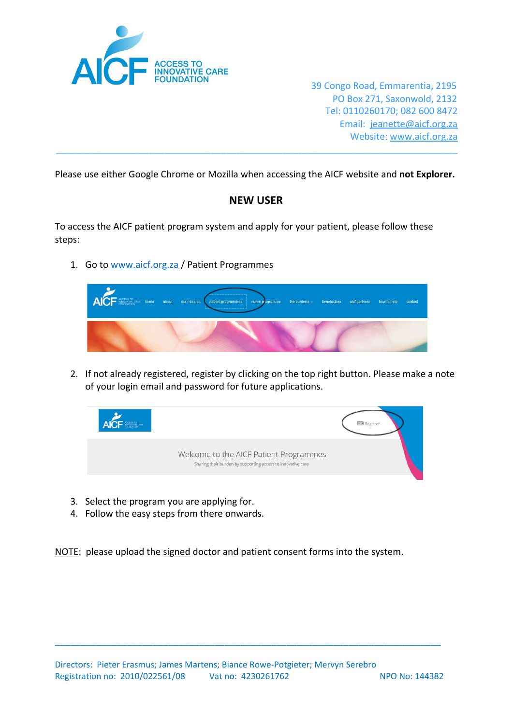

39 Congo Road, Emmarentia, 2195 PO Box 271, Saxonwold, 2132 Tel: 0110260170; 082 600 8472 Email: [jeanette@aicf.org.za](mailto:jeanette@aicf.org.za) Website: [www.aicf.org.za](http://www.aicf.org.za/)

Please use either Google Chrome or Mozilla when accessing the AICF website and **not Explorer.**

\_\_\_\_\_\_\_\_\_\_\_\_\_\_\_\_\_\_\_\_\_\_\_\_\_\_\_\_\_\_\_\_\_\_\_\_\_\_\_\_\_\_\_\_\_\_\_\_\_\_\_\_\_\_\_\_\_\_\_\_\_\_\_\_\_\_\_\_\_\_\_\_\_\_\_\_\_\_

## **NEW USER**

To access the AICF patient program system and apply for your patient, please follow these steps:

1. Go to [www.aicf.org.za](http://www.aicf.org.za/) / Patient Programmes



2. If not already registered, register by clicking on the top right button. Please make a note of your login email and password for future applications.



- 3. Select the program you are applying for.
- 4. Follow the easy steps from there onwards.

NOTE: please upload the signed doctor and patient consent forms into the system.

\_\_\_\_\_\_\_\_\_\_\_\_\_\_\_\_\_\_\_\_\_\_\_\_\_\_\_\_\_\_\_\_\_\_\_\_\_\_\_\_\_\_\_\_\_\_\_\_\_\_\_\_\_\_\_\_\_\_\_\_\_\_\_\_\_\_\_\_\_\_\_\_\_\_\_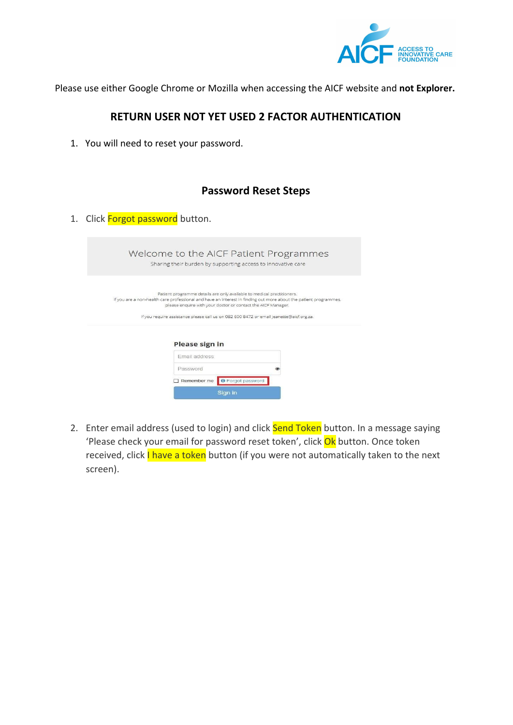

Please use either Google Chrome or Mozilla when accessing the AICF website and **not Explorer.**

## **RETURN USER NOT YET USED 2 FACTOR AUTHENTICATION**

1. You will need to reset your password.

|    | <b>Password Reset Steps</b>                                                                                                                                                                                                                                                                                                                           |
|----|-------------------------------------------------------------------------------------------------------------------------------------------------------------------------------------------------------------------------------------------------------------------------------------------------------------------------------------------------------|
| 1. | Click Forgot password button.                                                                                                                                                                                                                                                                                                                         |
|    | Welcome to the AICF Patient Programmes<br>Sharing their burden by supporting access to innovative care                                                                                                                                                                                                                                                |
|    | Patient programme details are only available to medical practitioners.<br>If you are a non-health care professional and have an interest in finding out more about the patient programmes,<br>please enquire with your doctor or contact the AICF Manager.<br>If you require assistance please call us on 082 600 8472 or email jeanette@aicf.org.za. |
|    | <b>Please sign in</b>                                                                                                                                                                                                                                                                                                                                 |
|    | Email address                                                                                                                                                                                                                                                                                                                                         |
|    | Password                                                                                                                                                                                                                                                                                                                                              |
|    | Remember me<br><b>O</b> Forgot password                                                                                                                                                                                                                                                                                                               |
|    | Sign in                                                                                                                                                                                                                                                                                                                                               |

2. Enter email address (used to login) and click **Send Token** button. In a message saying 'Please check your email for password reset token', click Ok button. Once token received, click I have a token button (if you were not automatically taken to the next screen).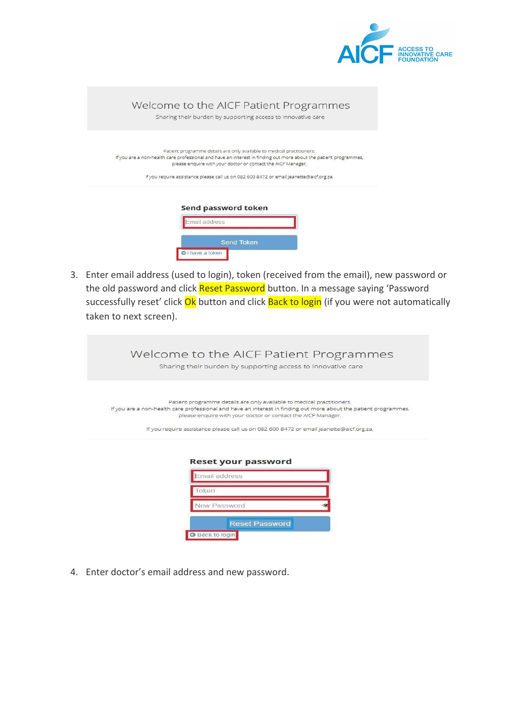

| Welcome to the AICF Patient Programmes<br>Sharing their burden by supporting access to innovative care                                                                                                                                                                                                                                                |
|-------------------------------------------------------------------------------------------------------------------------------------------------------------------------------------------------------------------------------------------------------------------------------------------------------------------------------------------------------|
| Patient programme details are only available to medical practitioners.<br>If you are a non-health care professional and have an interest in finding out more about the patient programmes,<br>please enquire with your doctor or contact the AICF Manager.<br>If you require assistance please call us on 082 600 8472 or email jeanette@aicf.org.za. |
| Send password token<br>Email address                                                                                                                                                                                                                                                                                                                  |

3. Enter email address (used to login), token (received from the email), new password or the old password and click Reset Password button. In a message saying 'Password successfully reset' click Ok button and click Back to login (if you were not automatically taken to next screen).

O I have a token

| Welcome to the AICF Patient Programmes<br>Sharing their burden by supporting access to innovative care                                                                                                                                                                                                                                                |
|-------------------------------------------------------------------------------------------------------------------------------------------------------------------------------------------------------------------------------------------------------------------------------------------------------------------------------------------------------|
| Patient programme details are only available to medical practitioners.<br>If you are a non-health care professional and have an interest in finding out more about the patient programmes,<br>please enquire with your doctor or contact the AICF Manager.<br>If you require assistance please call us on 082 600 8472 or email jeanette@aicf.org.za. |
| <b>Reset your password</b><br>Email address<br>Token                                                                                                                                                                                                                                                                                                  |
| New Password                                                                                                                                                                                                                                                                                                                                          |

Reset Password

4. Enter doctor's email address and new password.

G Back to login